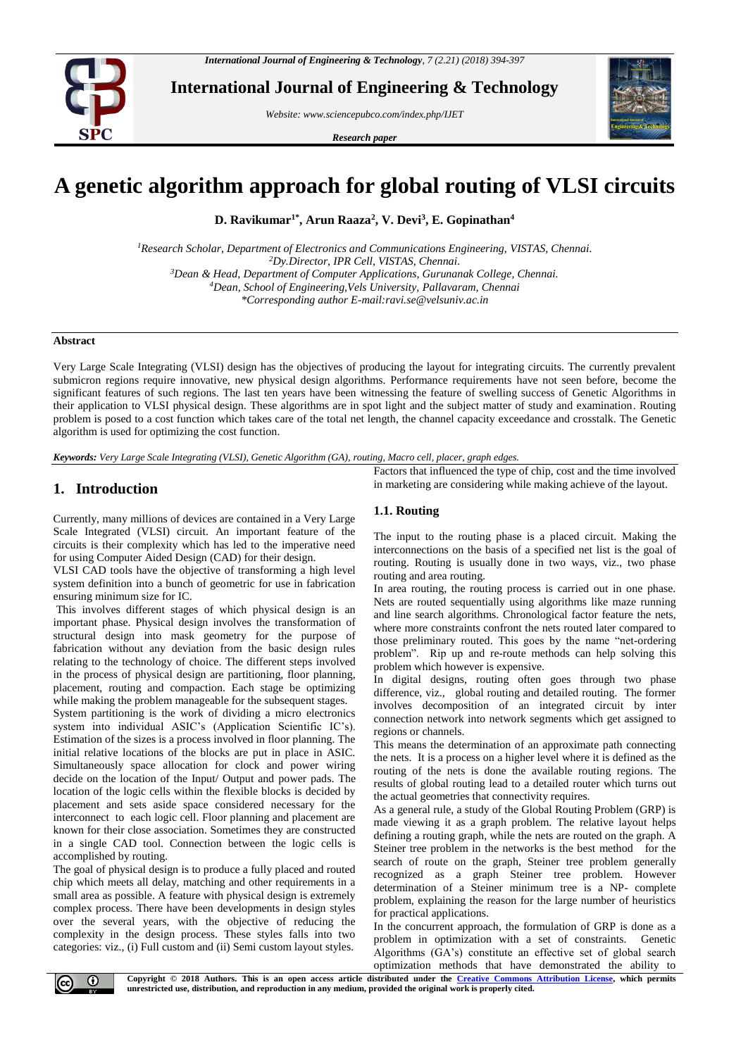

**International Journal of Engineering & Technology**

*Website: www.sciencepubco.com/index.php/IJET*

*Research paper*



# **A genetic algorithm approach for global routing of VLSI circuits**

**D. Ravikumar1\* , Arun Raaza<sup>2</sup> , V. Devi<sup>3</sup> , E. Gopinathan<sup>4</sup>**

*Research Scholar, Department of Electronics and Communications Engineering, VISTAS, Chennai. Dy.Director, IPR Cell, VISTAS, Chennai. Dean & Head, Department of Computer Applications, Gurunanak College, Chennai. Dean, School of Engineering,Vels University, Pallavaram, Chennai \*Corresponding author E-mail:ravi.se@velsuniv.ac.in*

**Abstract**

Very Large Scale Integrating (VLSI) design has the objectives of producing the layout for integrating circuits. The currently prevalent submicron regions require innovative, new physical design algorithms. Performance requirements have not seen before, become the significant features of such regions. The last ten years have been witnessing the feature of swelling success of Genetic Algorithms in their application to VLSI physical design. These algorithms are in spot light and the subject matter of study and examination. Routing problem is posed to a cost function which takes care of the total net length, the channel capacity exceedance and crosstalk. The Genetic algorithm is used for optimizing the cost function.

*Keywords: Very Large Scale Integrating (VLSI), Genetic Algorithm (GA), routing, Macro cell, placer, graph edges.*

# **1. Introduction**

Currently, many millions of devices are contained in a Very Large Scale Integrated (VLSI) circuit. An important feature of the circuits is their complexity which has led to the imperative need for using Computer Aided Design (CAD) for their design.

VLSI CAD tools have the objective of transforming a high level system definition into a bunch of geometric for use in fabrication ensuring minimum size for IC.

This involves different stages of which physical design is an important phase. Physical design involves the transformation of structural design into mask geometry for the purpose of fabrication without any deviation from the basic design rules relating to the technology of choice. The different steps involved in the process of physical design are partitioning, floor planning, placement, routing and compaction. Each stage be optimizing while making the problem manageable for the subsequent stages.

System partitioning is the work of dividing a micro electronics system into individual ASIC's (Application Scientific IC's). Estimation of the sizes is a process involved in floor planning. The initial relative locations of the blocks are put in place in ASIC. Simultaneously space allocation for clock and power wiring decide on the location of the Input/ Output and power pads. The location of the logic cells within the flexible blocks is decided by placement and sets aside space considered necessary for the interconnect to each logic cell. Floor planning and placement are known for their close association. Sometimes they are constructed in a single CAD tool. Connection between the logic cells is accomplished by routing.

The goal of physical design is to produce a fully placed and routed chip which meets all delay, matching and other requirements in a small area as possible. A feature with physical design is extremely complex process. There have been developments in design styles over the several years, with the objective of reducing the complexity in the design process. These styles falls into two categories: viz., (i) Full custom and (ii) Semi custom layout styles.

Factors that influenced the type of chip, cost and the time involved in marketing are considering while making achieve of the layout.

## **1.1. Routing**

The input to the routing phase is a placed circuit. Making the interconnections on the basis of a specified net list is the goal of routing. Routing is usually done in two ways, viz., two phase routing and area routing.

In area routing, the routing process is carried out in one phase. Nets are routed sequentially using algorithms like maze running and line search algorithms. Chronological factor feature the nets, where more constraints confront the nets routed later compared to those preliminary routed. This goes by the name "net-ordering problem". Rip up and re-route methods can help solving this problem which however is expensive.

In digital designs, routing often goes through two phase difference, viz., global routing and detailed routing. The former involves decomposition of an integrated circuit by inter connection network into network segments which get assigned to regions or channels.

This means the determination of an approximate path connecting the nets. It is a process on a higher level where it is defined as the routing of the nets is done the available routing regions. The results of global routing lead to a detailed router which turns out the actual geometries that connectivity requires.

As a general rule, a study of the Global Routing Problem (GRP) is made viewing it as a graph problem. The relative layout helps defining a routing graph, while the nets are routed on the graph. A Steiner tree problem in the networks is the best method for the search of route on the graph, Steiner tree problem generally recognized as a graph Steiner tree problem. However determination of a Steiner minimum tree is a NP- complete problem, explaining the reason for the large number of heuristics for practical applications.

In the concurrent approach, the formulation of GRP is done as a problem in optimization with a set of constraints. Genetic Algorithms (GA's) constitute an effective set of global search optimization methods that have demonstrated the ability to



**Copyright © 2018 Authors. This is an open access article distributed under the [Creative Commons Attribution License,](http://creativecommons.org/licenses/by/3.0/) which permits unrestricted use, distribution, and reproduction in any medium, provided the original work is properly cited.**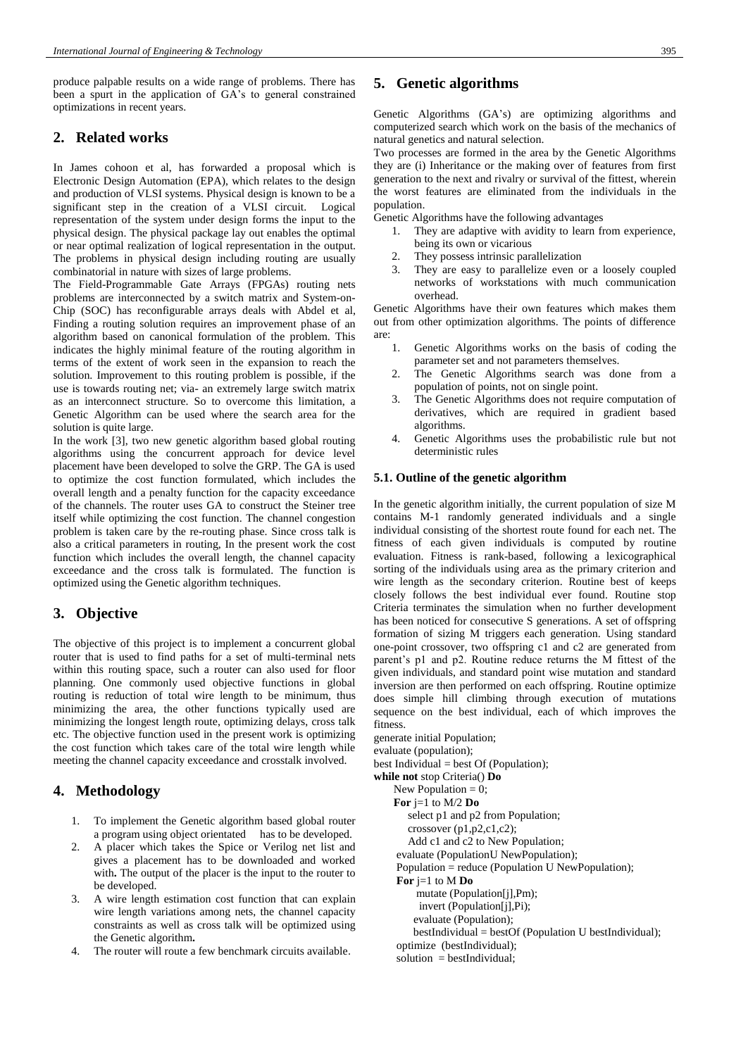produce palpable results on a wide range of problems. There has been a spurt in the application of GA's to general constrained optimizations in recent years.

## **2. Related works**

In James cohoon et al, has forwarded a proposal which is Electronic Design Automation (EPA), which relates to the design and production of VLSI systems. Physical design is known to be a significant step in the creation of a VLSI circuit. Logical representation of the system under design forms the input to the physical design. The physical package lay out enables the optimal or near optimal realization of logical representation in the output. The problems in physical design including routing are usually combinatorial in nature with sizes of large problems.

The Field-Programmable Gate Arrays (FPGAs) routing nets problems are interconnected by a switch matrix and System-on-Chip (SOC) has reconfigurable arrays deals with Abdel et al, Finding a routing solution requires an improvement phase of an algorithm based on canonical formulation of the problem. This indicates the highly minimal feature of the routing algorithm in terms of the extent of work seen in the expansion to reach the solution. Improvement to this routing problem is possible, if the use is towards routing net; via- an extremely large switch matrix as an interconnect structure. So to overcome this limitation, a Genetic Algorithm can be used where the search area for the solution is quite large.

In the work [3], two new genetic algorithm based global routing algorithms using the concurrent approach for device level placement have been developed to solve the GRP. The GA is used to optimize the cost function formulated, which includes the overall length and a penalty function for the capacity exceedance of the channels. The router uses GA to construct the Steiner tree itself while optimizing the cost function. The channel congestion problem is taken care by the re-routing phase. Since cross talk is also a critical parameters in routing, In the present work the cost function which includes the overall length, the channel capacity exceedance and the cross talk is formulated. The function is optimized using the Genetic algorithm techniques.

# **3. Objective**

The objective of this project is to implement a concurrent global router that is used to find paths for a set of multi-terminal nets within this routing space, such a router can also used for floor planning. One commonly used objective functions in global routing is reduction of total wire length to be minimum, thus minimizing the area, the other functions typically used are minimizing the longest length route, optimizing delays, cross talk etc. The objective function used in the present work is optimizing the cost function which takes care of the total wire length while meeting the channel capacity exceedance and crosstalk involved.

# **4. Methodology**

- 1. To implement the Genetic algorithm based global router a program using object orientated has to be developed.
- 2. A placer which takes the Spice or Verilog net list and gives a placement has to be downloaded and worked with. The output of the placer is the input to the router to be developed.
- 3. A wire length estimation cost function that can explain wire length variations among nets, the channel capacity constraints as well as cross talk will be optimized using the Genetic algorithm**.**
- 4. The router will route a few benchmark circuits available.

## **5. Genetic algorithms**

Genetic Algorithms (GA's) are optimizing algorithms and computerized search which work on the basis of the mechanics of natural genetics and natural selection.

Two processes are formed in the area by the Genetic Algorithms they are (i) Inheritance or the making over of features from first generation to the next and rivalry or survival of the fittest, wherein the worst features are eliminated from the individuals in the population.

Genetic Algorithms have the following advantages

- 1. They are adaptive with avidity to learn from experience, being its own or vicarious
- 2. They possess intrinsic parallelization
- 3. They are easy to parallelize even or a loosely coupled networks of workstations with much communication overhead.

Genetic Algorithms have their own features which makes them out from other optimization algorithms. The points of difference are:

- 1. Genetic Algorithms works on the basis of coding the parameter set and not parameters themselves.
- 2. The Genetic Algorithms search was done from a population of points, not on single point.
- 3. The Genetic Algorithms does not require computation of derivatives, which are required in gradient based algorithms.
- 4. Genetic Algorithms uses the probabilistic rule but not deterministic rules

#### **5.1. Outline of the genetic algorithm**

In the genetic algorithm initially, the current population of size M contains M-1 randomly generated individuals and a single individual consisting of the shortest route found for each net. The fitness of each given individuals is computed by routine evaluation. Fitness is rank-based, following a lexicographical sorting of the individuals using area as the primary criterion and wire length as the secondary criterion. Routine best of keeps closely follows the best individual ever found. Routine stop Criteria terminates the simulation when no further development has been noticed for consecutive S generations. A set of offspring formation of sizing M triggers each generation. Using standard one-point crossover, two offspring c1 and c2 are generated from parent's p1 and p2. Routine reduce returns the M fittest of the given individuals, and standard point wise mutation and standard inversion are then performed on each offspring. Routine optimize does simple hill climbing through execution of mutations sequence on the best individual, each of which improves the fitness.

generate initial Population; evaluate (population); best Individual = best Of (Population); **while not** stop Criteria() **Do** New Population  $= 0$ ; **For** j=1 to M/2 **Do** select p1 and p2 from Population; crossover (p1,p2,c1,c2); Add c1 and c2 to New Population; evaluate (PopulationU NewPopulation); Population = reduce (Population U NewPopulation); **For** j=1 to M **Do** mutate (Population[j],Pm); invert (Population[j],Pi); evaluate (Population); bestIndividual = bestOf (Population U bestIndividual); optimize (bestIndividual);  $solution = bestIndividual;$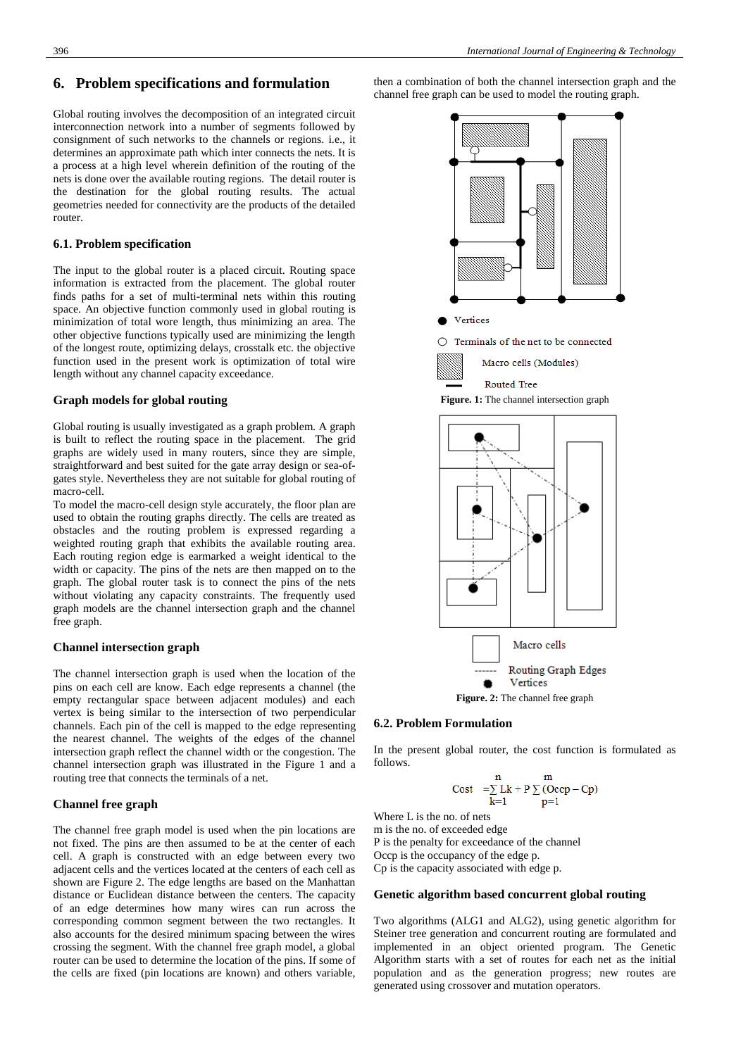Global routing involves the decomposition of an integrated circuit interconnection network into a number of segments followed by consignment of such networks to the channels or regions. i.e., it determines an approximate path which inter connects the nets. It is a process at a high level wherein definition of the routing of the nets is done over the available routing regions. The detail router is the destination for the global routing results. The actual geometries needed for connectivity are the products of the detailed router.

#### **6.1. Problem specification**

The input to the global router is a placed circuit. Routing space information is extracted from the placement. The global router finds paths for a set of multi-terminal nets within this routing space. An objective function commonly used in global routing is minimization of total wore length, thus minimizing an area. The other objective functions typically used are minimizing the length of the longest route, optimizing delays, crosstalk etc. the objective function used in the present work is optimization of total wire length without any channel capacity exceedance.

#### **Graph models for global routing**

Global routing is usually investigated as a graph problem. A graph is built to reflect the routing space in the placement. The grid graphs are widely used in many routers, since they are simple, straightforward and best suited for the gate array design or sea-ofgates style. Nevertheless they are not suitable for global routing of macro-cell.

To model the macro-cell design style accurately, the floor plan are used to obtain the routing graphs directly. The cells are treated as obstacles and the routing problem is expressed regarding a weighted routing graph that exhibits the available routing area. Each routing region edge is earmarked a weight identical to the width or capacity. The pins of the nets are then mapped on to the graph. The global router task is to connect the pins of the nets without violating any capacity constraints. The frequently used graph models are the channel intersection graph and the channel free graph.

#### **Channel intersection graph**

The channel intersection graph is used when the location of the pins on each cell are know. Each edge represents a channel (the empty rectangular space between adjacent modules) and each vertex is being similar to the intersection of two perpendicular channels. Each pin of the cell is mapped to the edge representing the nearest channel. The weights of the edges of the channel intersection graph reflect the channel width or the congestion. The channel intersection graph was illustrated in the Figure 1 and a routing tree that connects the terminals of a net.

#### **Channel free graph**

The channel free graph model is used when the pin locations are not fixed. The pins are then assumed to be at the center of each cell. A graph is constructed with an edge between every two adjacent cells and the vertices located at the centers of each cell as shown are Figure 2. The edge lengths are based on the Manhattan distance or Euclidean distance between the centers. The capacity of an edge determines how many wires can run across the corresponding common segment between the two rectangles. It also accounts for the desired minimum spacing between the wires crossing the segment. With the channel free graph model, a global router can be used to determine the location of the pins. If some of the cells are fixed (pin locations are known) and others variable,

then a combination of both the channel intersection graph and the channel free graph can be used to model the routing graph.





#### **6.2. Problem Formulation**

In the present global router, the cost function is formulated as follows.

$$
\begin{array}{cc}\nn & m \\
\text{Cost} & = \sum Lk + p \sum (Ocep - Cp) \\
k=1\n\end{array}
$$

Where L is the no. of nets m is the no. of exceeded edge P is the penalty for exceedance of the channel Occp is the occupancy of the edge p. Cp is the capacity associated with edge p.

#### **Genetic algorithm based concurrent global routing**

Two algorithms (ALG1 and ALG2), using genetic algorithm for Steiner tree generation and concurrent routing are formulated and implemented in an object oriented program. The Genetic Algorithm starts with a set of routes for each net as the initial population and as the generation progress; new routes are generated using crossover and mutation operators.